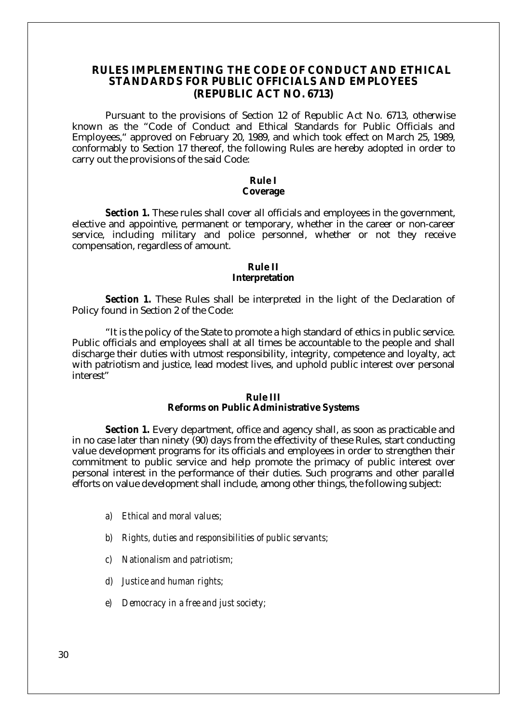## **RULES IMPLEMENTING THE CODE OF CONDUCT AND ETHICAL STANDARDS FOR PUBLIC OFFICIALS AND EMPLOYEES (REPUBLIC ACT NO. 6713)**

Pursuant to the provisions of Section 12 of Republic Act No. 6713, otherwise known as the "Code of Conduct and Ethical Standards for Public Officials and Employees," approved on February 20, 1989, and which took effect on March 25, 1989, conformably to Section 17 thereof, the following Rules are hereby adopted in order to carry out the provisions of the said Code:

# **Rule I**

## **Coverage**

*Section 1.* These rules shall cover all officials and employees in the government, elective and appointive, permanent or temporary, whether in the career or non-career service, including military and police personnel, whether or not they receive compensation, regardless of amount.

#### **Rule II**

#### **Interpretation**

*Section 1.* These Rules shall be interpreted in the light of the Declaration of Policy found in Section 2 of the Code:

"It is the policy of the State to promote a high standard of ethics in public service. Public officials and employees shall at all times be accountable to the people and shall discharge their duties with utmost responsibility, integrity, competence and loyalty, act with patriotism and justice, lead modest lives, and uphold public interest over personal interest"

#### **Rule III**

#### **Reforms on Public Administrative Systems**

*Section 1.* Every department, office and agency shall, as soon as practicable and in no case later than ninety (90) days from the effectivity of these Rules, start conducting value development programs for its officials and employees in order to strengthen their commitment to public service and help promote the primacy of public interest over personal interest in the performance of their duties. Such programs and other parallel efforts on value development shall include, among other things, the following subject:

- *a) Ethical and moral values;*
- *b) Rights, duties and responsibilities of public servants;*
- *c) Nationalism and patriotism;*
- *d) Justice and human rights;*
- *e) Democracy in a free and just society;*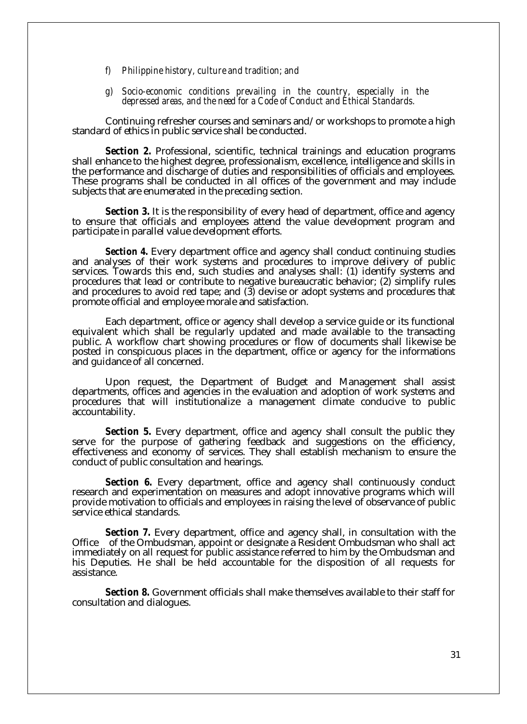- *f) Philippine history, culture and tradition; and*
- *g) Socio-economic conditions prevailing in the country, especially in the depressed areas, and the need for a Code of Conduct and Ethical Standards.*

Continuing refresher courses and seminars and/or workshops to promote a high standard of ethics in public service shall be conducted.

*Section 2.* Professional, scientific, technical trainings and education programs shall enhance to the highest degree, professionalism, excellence, intelligence and skills in the performance and discharge of duties and responsibilities of officials and employees. These programs shall be conducted in all offices of the government and may include subjects that are enumerated in the preceding section.

*Section 3.* It is the responsibility of every head of department, office and agency to ensure that officials and employees attend the value development program and participate in parallel value development efforts.

*Section 4.* Every department office and agency shall conduct continuing studies and analyses of their work systems and procedures to improve delivery of public services. Towards this end, such studies and analyses shall: (1) identify systems and procedures that lead or contribute to negative bureaucratic behavior; (2) simplify rules and procedures to avoid red tape; and (3) devise or adopt systems and procedures that promote official and employee morale and satisfaction.

Each department, office or agency shall develop a service guide or its functional equivalent which shall be regularly updated and made available to the transacting public. A workflow chart showing procedures or flow of documents shall likewise be posted in conspicuous places in the department, office or agency for the informations and guidance of all concerned.

Upon request, the Department of Budget and Management shall assist departments, offices and agencies in the evaluation and adoption of work systems and procedures that will institutionalize a management climate conducive to public accountability.

*Section 5.* Every department, office and agency shall consult the public they serve for the purpose of gathering feedback and suggestions on the efficiency, effectiveness and economy of services. They shall establish mechanism to ensure the conduct of public consultation and hearings.

Section 6. Every department, office and agency shall continuously conduct research and experimentation on measures and adopt innovative programs which will provide motivation to officials and employees in raising the level of observance of public service ethical standards.

*Section 7.* Every department, office and agency shall, in consultation with the Office of the Ombudsman, appoint or designate a Resident Ombudsman who shall act immediately on all request for public assistance referred to him by the Ombudsman and his Deputies. He shall be held accountable for the disposition of all requests for assistance. .

*Section 8.* Government officials shall make themselves available to their staff for consultation and dialogues.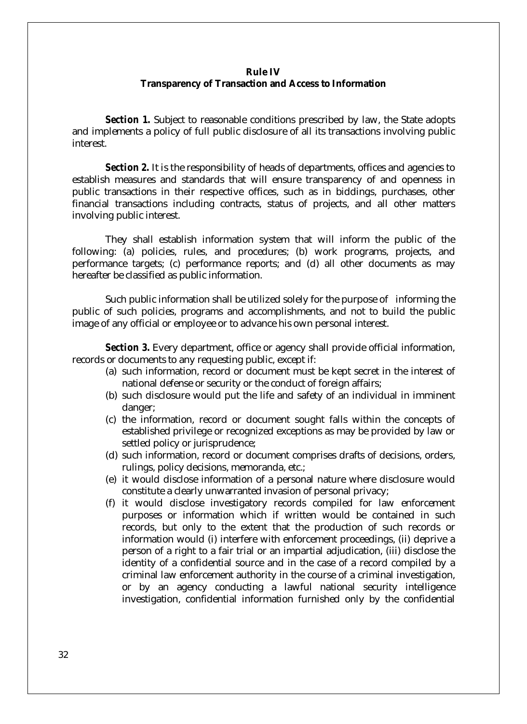### **Rule IV**

## **Transparency of Transaction and Access to Information**

*Section 1.* Subject to reasonable conditions prescribed by law, the State adopts and implements a policy of full public disclosure of all its transactions involving public interest.

*Section 2.* It is the responsibility of heads of departments, offices and agencies to establish measures and standards that will ensure transparency of and openness in public transactions in their respective offices, such as in biddings, purchases, other financial transactions including contracts, status of projects, and all other matters involving public interest.

They shall establish information system that will inform the public of the following: (a) policies, rules, and procedures; (b) work programs, projects, and performance targets; (c) performance reports; and (d) all other documents as may hereafter be classified as public information.

Such public information shall be utilized solely for the purpose of informing the public of such policies, programs and accomplishments, and not to build the public image of any official or employee or to advance his own personal interest.

*Section 3.* Every department, office or agency shall provide official information, records or documents to any requesting public, except if:

- (a) such information, record or document must be kept secret in the interest of national defense or security or the conduct of foreign affairs;
- (b) such disclosure would put the life and safety of an individual in imminent danger;
- (c) the information, record or document sought falls within the concepts of established privilege or recognized exceptions as may be provided by law or settled policy or jurisprudence;
- (d) such information, record or document comprises drafts of decisions, orders, rulings, policy decisions, memoranda, etc.;
- (e) it would disclose information of a personal nature where disclosure would constitute a clearly unwarranted invasion of personal privacy;
- (f) it would disclose investigatory records compiled for law enforcement purposes or information which if written would be contained in such records, but only to the extent that the production of such records or information would (i) interfere with enforcement proceedings, (ii) deprive a person of a right to a fair trial or an impartial adjudication, (iii) disclose the identity of a confidential source and in the case of a record compiled by a criminal law enforcement authority in the course of a criminal investigation, or by an agency conducting a lawful national security intelligence investigation, confidential information furnished only by the confidential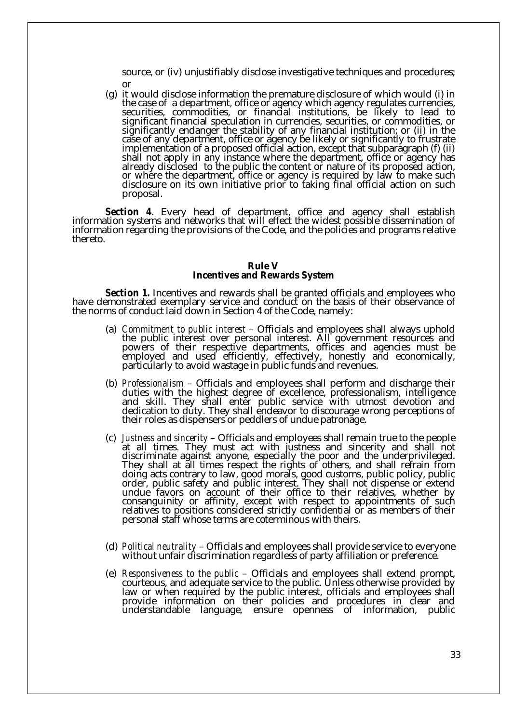source, or (iv) unjustifiably disclose investigative techniques and procedures; or

(g) it would disclose information the premature disclosure of which would (i) in the case of a department, office or agency which agency regulates currencies, securities, commodities, or financial institutions, be likely to lead to significant financial speculation in currencies, securities, or commodities, or significantly endanger the stability of any financial institution; or (ii) in the case of any department, office or agency be likely or significantly to frustrate implementation of a proposed official action, except that subparagraph (f) (ii) shall not apply in any instance where the department, office or agency has already disclosed to the public the content or nature of its proposed action, or where the department, office or agency is required by law to make such disclosure on its own initiative prior to taking final official action on such proposal.

*Section 4*. Every head of department, office and agency shall establish information systems and networks that will effect the widest possible dissemination of information regarding the provisions of the Code, and the policies and programs relative thereto.

#### **Rule V**

#### **Incentives and Rewards System**

*Section 1.* Incentives and rewards shall be granted officials and employees who have demonstrated exemplary service and conduct on the basis of their observance of the norms of conduct laid down in Section 4 of the Code, namely:

- (a) *Commitment to public interest* Officials and employees shall always uphold the public interest over personal interest. All government resources and powers of their respective departments, offices and agencies must be employed and used efficiently, effectively, honestly and economically, particularly to avoid wastage in public funds and revenues.
- (b) *Professionalism* Officials and employees shall perform and discharge their duties with the highest degree of excellence, professionalism, intelligence and skill. They shall enter public service with utmost devotion and dedication to duty. They shall endeavor to discourage wrong perceptions of their roles as dispensers or peddlers of undue patronage.
- (c) *Justness and sincerity* Officials and employees shall remain true to the people at all times. They must act with justness and sincerity and shall not discriminate against anyone, especially the poor and the underprivileged. They shall at all times respect the rights of others, and shall refrain from doing acts contrary to law, good morals, good customs, public policy, public order, public safety and public interest. They shall not dispense or extend undue favors on account of their office to their relatives, whether by consanguinity or affinity, except with respect to appointments of such relatives to positions considered strictly confidential or as members of their personal staff whose terms are coterminous with theirs.
- (d) *Political neutrality* Officials and employees shall provide service to everyone without unfair discrimination regardless of party affiliation or preference.
- (e) *Responsiveness to the public* Officials and employees shall extend prompt, courteous, and adequate service to the public. Unless otherwise provided by law or when required by the public interest, officials and employees shall provide information on their policies and procedures in clear and understandable language, ensure openness of information, public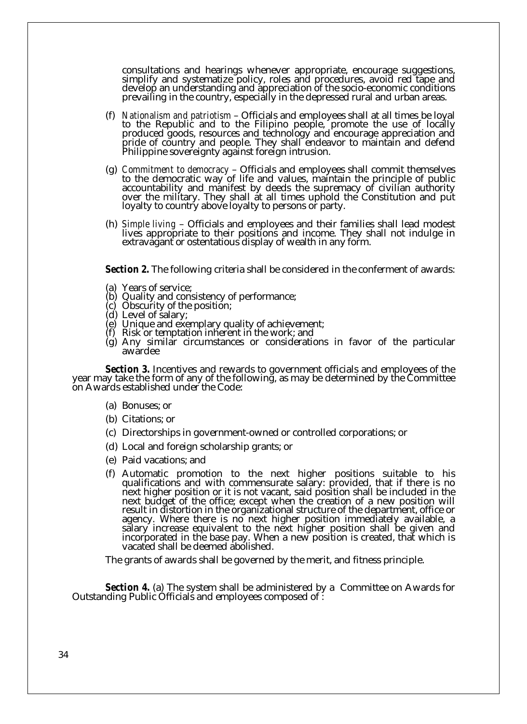consultations and hearings whenever appropriate, encourage suggestions, simplify and systematize policy, roles and procedures, avoid red tape and develop an understanding and appreciation of the socio-economic conditions prevailing in the country, especially in the depressed rural and urban areas.

- (f) *Nationalism and patriotism* Officials and employees shall at all times be loyal to the Republic and to the Filipino people, promote the use of locally produced goods, resources and technology and encourage appreciation and pride of country and people. They shall endeavor to maintain and defend Philippine sovereignty against foreign intrusion.
- (g) *Commitment to democracy* Officials and employees shall commit themselves to the democratic way of life and values, maintain the principle of public accountability and manifest by deeds the supremacy of civilian authority over the military. They shall at all times uphold the Constitution and put loyalty to country above loyalty to persons or party.
- (h) *Simple living* Officials and employees and their families shall lead modest lives appropriate to their positions and income. They shall not indulge in extravagant or ostentatious display of wealth in any form.

*Section 2.* The following criteria shall be considered in the conferment of awards:

- (a) Years of service;
- (b) Quality and consistency of performance;
- (c) Obscurity of the position;
- (d) Level of salary;
- (e) Unique and exemplary quality of achievement;
- (f) Risk or temptation inherent in the work; and
- (g) Any similar circumstances or considerations in favor of the particular awardee

*Section 3.* Incentives and rewards to government officials and employees of the year may take the form of any of the following, as may be determined by the Committee on Awards established under the Code:

- (a) Bonuses; or
- (b) Citations; or
- (c) Directorships in government-owned or controlled corporations; or
- (d) Local and foreign scholarship grants; or
- (e) Paid vacations; and
- (f) Automatic promotion to the next higher positions suitable to his qualifications and with commensurate salary: provided, that if there is no next higher position or it is not vacant, said position shall be included in the next budget of the office; except when the creation of a new position will result in distortion in the organizational structure of the department, office or agency. Where there is no next higher position immediately available, a salary increase equivalent to the next higher position shall be given and incorporated in the base pay. When a new position is created, that which is vacated shall be deemed abolished.

The grants of awards shall be governed by the merit, and fitness principle.

*Section 4.* (a) The system shall be administered by a Committee on Awards for Outstanding Public Officials and employees composed of :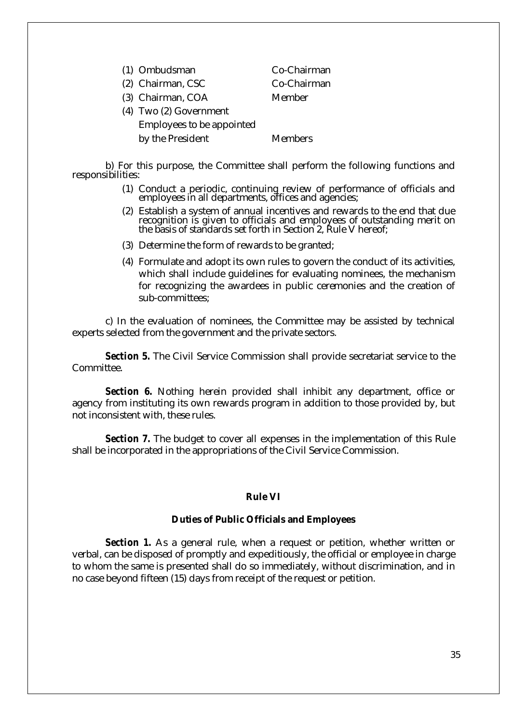| (1) Ombudsman                    | Co-Chairman |
|----------------------------------|-------------|
| (2) Chairman, CSC                | Co-Chairman |
| (3) Chairman, COA                | Member      |
| (4) Two (2) Government           |             |
| <b>Employees to be appointed</b> |             |
| by the President                 | Members     |

b) For this purpose, the Committee shall perform the following functions and responsibilities:

- (1) Conduct a periodic, continuing review of performance of officials and employees in all departments, offices and agencies;
- (2) Establish a system of annual incentives and rewards to the end that due recognition is given to officials and employees of outstanding merit on the basis of standards set forth in Section 2, Rule V hereof;
- (3) Determine the form of rewards to be granted;
- (4) Formulate and adopt its own rules to govern the conduct of its activities, which shall include guidelines for evaluating nominees, the mechanism for recognizing the awardees in public ceremonies and the creation of sub-committees;

c) In the evaluation of nominees, the Committee may be assisted by technical experts selected from the government and the private sectors.

*Section 5.* The Civil Service Commission shall provide secretariat service to the Committee.

*Section 6.* Nothing herein provided shall inhibit any department, office or agency from instituting its own rewards program in addition to those provided by, but not inconsistent with, these rules.

*Section 7.* The budget to cover all expenses in the implementation of this Rule shall be incorporated in the appropriations of the Civil Service Commission.

### **Rule VI**

## **Duties of Public Officials and Employees**

*Section 1.* As a general rule, when a request or petition, whether written or verbal, can be disposed of promptly and expeditiously, the official or employee in charge to whom the same is presented shall do so immediately, without discrimination, and in no case beyond fifteen (15) days from receipt of the request or petition.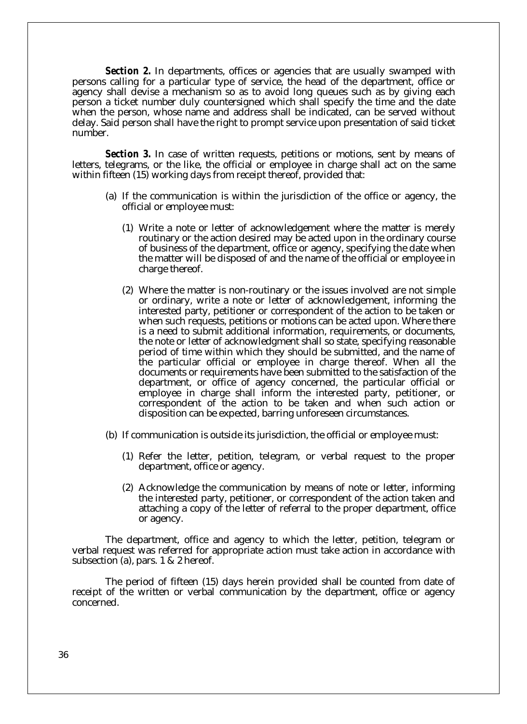*Section 2.* In departments, offices or agencies that are usually swamped with persons calling for a particular type of service, the head of the department, office or agency shall devise a mechanism so as to avoid long queues such as by giving each person a ticket number duly countersigned which shall specify the time and the date when the person, whose name and address shall be indicated, can be served without delay. Said person shall have the right to prompt service upon presentation of said ticket number.

*Section 3.* In case of written requests, petitions or motions, sent by means of letters, telegrams, or the like, the official or employee in charge shall act on the same within fifteen (15) working days from receipt thereof, provided that:

- (a) If the communication is within the jurisdiction of the office or agency, the official or employee must:
	- (1) Write a note or letter of acknowledgement where the matter is merely routinary or the action desired may be acted upon in the ordinary course of business of the department, office or agency, specifying the date when the matter will be disposed of and the name of the official or employee in charge thereof.
	- (2) Where the matter is non-routinary or the issues involved are not simple or ordinary, write a note or letter of acknowledgement, informing the interested party, petitioner or correspondent of the action to be taken or when such requests, petitions or motions can be acted upon. Where there is a need to submit additional information, requirements, or documents, the note or letter of acknowledgment shall so state, specifying reasonable period of time within which they should be submitted, and the name of the particular official or employee in charge thereof. When all the documents or requirements have been submitted to the satisfaction of the department, or office of agency concerned, the particular official or employee in charge shall inform the interested party, petitioner, or correspondent of the action to be taken and when such action or disposition can be expected, barring unforeseen circumstances.
- (b) If communication is outside its jurisdiction, the official or employee must:
	- (1) Refer the letter, petition, telegram, or verbal request to the proper department, office or agency.
	- (2) Acknowledge the communication by means of note or letter, informing the interested party, petitioner, or correspondent of the action taken and attaching a copy of the letter of referral to the proper department, office or agency.

The department, office and agency to which the letter, petition, telegram or verbal request was referred for appropriate action must take action in accordance with subsection (a), pars. 1 & 2 hereof.

The period of fifteen (15) days herein provided shall be counted from date of receipt of the written or verbal communication by the department, office or agency concerned.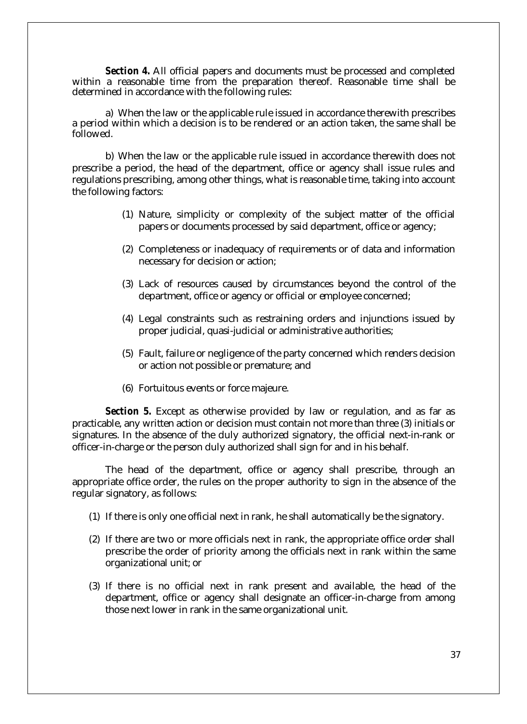*Section 4.* All official papers and documents must be processed and completed within a reasonable time from the preparation thereof. Reasonable time shall be determined in accordance with the following rules:

a) When the law or the applicable rule issued in accordance therewith prescribes a period within which a decision is to be rendered or an action taken, the same shall be followed.

b) When the law or the applicable rule issued in accordance therewith does not prescribe a period, the head of the department, office or agency shall issue rules and regulations prescribing, among other things, what is reasonable time, taking into account the following factors:

- (1) Nature, simplicity or complexity of the subject matter of the official papers or documents processed by said department, office or agency;
- (2) Completeness or inadequacy of requirements or of data and information necessary for decision or action;
- (3) Lack of resources caused by circumstances beyond the control of the department, office or agency or official or employee concerned;
- (4) Legal constraints such as restraining orders and injunctions issued by proper judicial, quasi-judicial or administrative authorities;
- (5) Fault, failure or negligence of the party concerned which renders decision or action not possible or premature; and
- (6) Fortuitous events or force majeure.

*Section 5.* Except as otherwise provided by law or regulation, and as far as practicable, any written action or decision must contain not more than three (3) initials or signatures. In the absence of the duly authorized signatory, the official next-in-rank or officer-in-charge or the person duly authorized shall sign for and in his behalf.

The head of the department, office or agency shall prescribe, through an appropriate office order, the rules on the proper authority to sign in the absence of the regular signatory, as follows:

- (1) If there is only one official next in rank, he shall automatically be the signatory.
- (2) If there are two or more officials next in rank, the appropriate office order shall prescribe the order of priority among the officials next in rank within the same organizational unit; or
- (3) If there is no official next in rank present and available, the head of the department, office or agency shall designate an officer-in-charge from among those next lower in rank in the same organizational unit.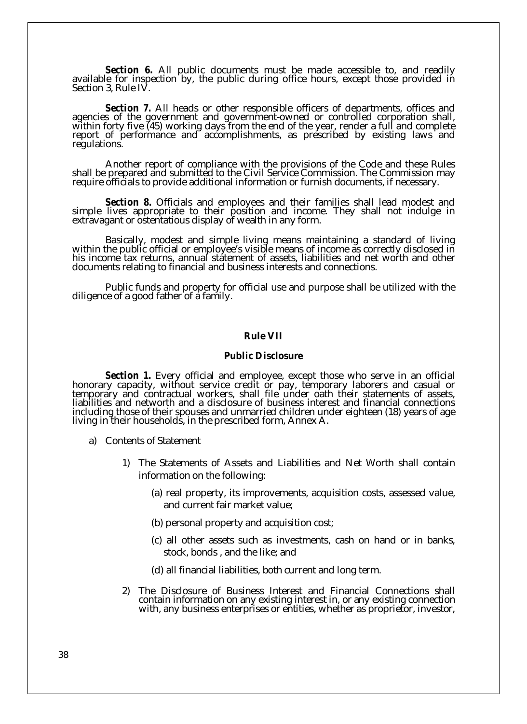*Section 6.* All public documents must be made accessible to, and readily available for inspection by, the public during office hours, except those provided in Section 3, Rule IV.

*Section 7.* All heads or other responsible officers of departments, offices and agencies of the government and government-owned or controlled corporation shall, within forty five (45) working days from the end of the year, render a full and complete report of performance and accomplishments, as prescribed by existing laws and regulations.

Another report of compliance with the provisions of the Code and these Rules shall be prepared and submitted to the Civil Service Commission. The Commission may require officials to provide additional information or furnish documents, if necessary.

*Section 8.* Officials and employees and their families shall lead modest and simple lives appropriate to their position and income. They shall not indulge in extravagant or ostentatious display of wealth in any form.

Basically, modest and simple living means maintaining a standard of living within the public official or employee's visible means of income as correctly disclosed in his income tax returns, annual statement of assets, liabilities and net worth and other documents relating to financial and business interests and connections.

Public funds and property for official use and purpose shall be utilized with the diligence of a good father of a family.

## **Rule VII**

#### **Public Disclosure**

*Section 1.* Every official and employee, except those who serve in an official honorary capacity, without service credit or pay, temporary laborers and casual or temporary and contractual workers, shall file under oath their statements of assets, liabilities and networth and a disclosure of business interest and financial connections including those of their spouses and unmarried children under eighteen (18) years of age living in their households, in the prescribed form, Annex A.

- a) Contents of Statement
	- 1) The Statements of Assets and Liabilities and Net Worth shall contain information on the following:
		- (a) real property, its improvements, acquisition costs, assessed value, and current fair market value;
		- (b) personal property and acquisition cost;
		- (c) all other assets such as investments, cash on hand or in banks, stock, bonds , and the like; and
		- (d) all financial liabilities, both current and long term.
	- 2) The Disclosure of Business Interest and Financial Connections shall contain information on any existing interest in, or any existing connection with, any business enterprises or entities, whether as proprietor, investor,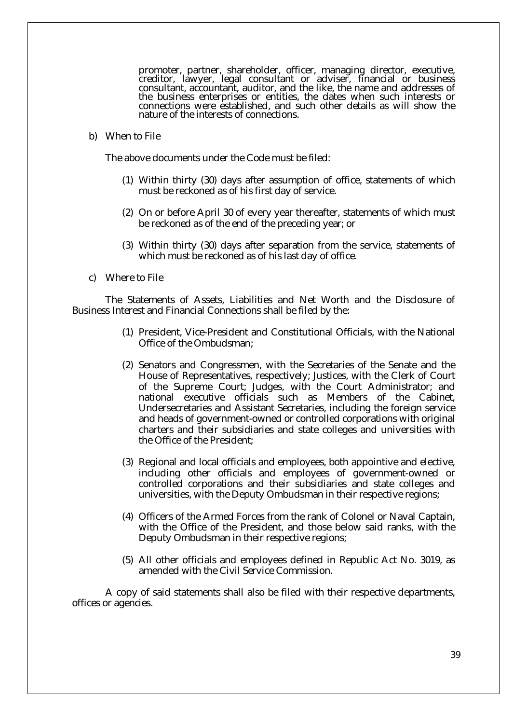promoter, partner, shareholder, officer, managing director, executive, creditor, lawyer, legal consultant or adviser, financial or business consultant, accountant, auditor, and the like, the name and addresses of the business enterprises or entities, the dates when such interests or connections were established, and such other details as will show the nature of the interests of connections.

b) When to File

The above documents under the Code must be filed:

- (1) Within thirty (30) days after assumption of office, statements of which must be reckoned as of his first day of service.
- (2) On or before April 30 of every year thereafter, statements of which must be reckoned as of the end of the preceding year; or
- (3) Within thirty (30) days after separation from the service, statements of which must be reckoned as of his last day of office.
- c) Where to File

The Statements of Assets, Liabilities and Net Worth and the Disclosure of Business Interest and Financial Connections shall be filed by the:

- (1) President, Vice-President and Constitutional Officials, with the National Office of the Ombudsman;
- (2) Senators and Congressmen, with the Secretaries of the Senate and the House of Representatives, respectively; Justices, with the Clerk of Court of the Supreme Court; Judges, with the Court Administrator; and national executive officials such as Members of the Cabinet, Undersecretaries and Assistant Secretaries, including the foreign service and heads of government-owned or controlled corporations with original charters and their subsidiaries and state colleges and universities with the Office of the President;
- (3) Regional and local officials and employees, both appointive and elective, including other officials and employees of government-owned or controlled corporations and their subsidiaries and state colleges and universities, with the Deputy Ombudsman in their respective regions;
- (4) Officers of the Armed Forces from the rank of Colonel or Naval Captain, with the Office of the President, and those below said ranks, with the Deputy Ombudsman in their respective regions;
- (5) All other officials and employees defined in Republic Act No. 3019, as amended with the Civil Service Commission.

A copy of said statements shall also be filed with their respective departments, offices or agencies.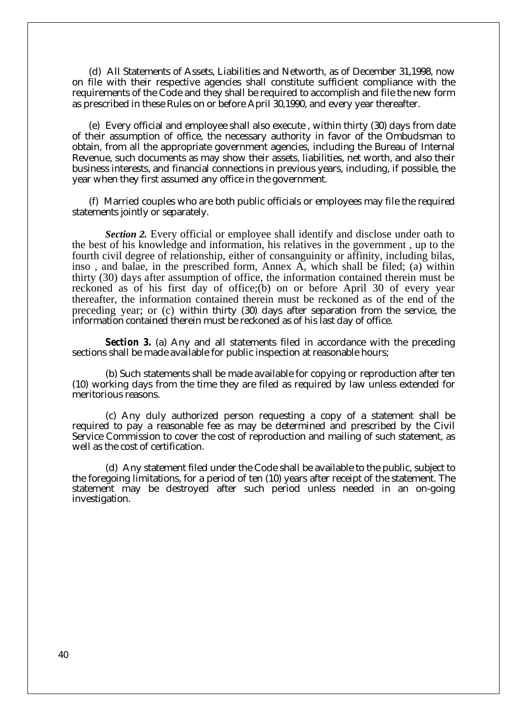(d) All Statements of Assets, Liabilities and Networth, as of December 31,1998, now on file with their respective agencies shall constitute sufficient compliance with the requirements of the Code and they shall be required to accomplish and file the new form as prescribed in these Rules on or before April 30,1990, and every year thereafter.

(e) Every official and employee shall also execute , within thirty (30) days from date of their assumption of office, the necessary authority in favor of the Ombudsman to obtain, from all the appropriate government agencies, including the Bureau of Internal Revenue, such documents as may show their assets, liabilities, net worth, and also their business interests, and financial connections in previous years, including, if possible, the year when they first assumed any office in the government.

(f) Married couples who are both public officials or employees may file the required statements jointly or separately.

*Section 2.* Every official or employee shall identify and disclose under oath to the best of his knowledge and information, his relatives in the government , up to the fourth civil degree of relationship, either of consanguinity or affinity, including bilas, inso , and balae, in the prescribed form, Annex A, which shall be filed; (a) within thirty (30) days after assumption of office, the information contained therein must be reckoned as of his first day of office;(b) on or before April 30 of every year thereafter, the information contained therein must be reckoned as of the end of the preceding year; or (c) within thirty (30) days after separation from the service, the information contained therein must be reckoned as of his last day of office.

*Section 3.* (a) Any and all statements filed in accordance with the preceding sections shall be made available for public inspection at reasonable hours;

(b) Such statements shall be made available for copying or reproduction after ten (10) working days from the time they are filed as required by law unless extended for meritorious reasons.

(c) Any duly authorized person requesting a copy of a statement shall be required to pay a reasonable fee as may be determined and prescribed by the Civil Service Commission to cover the cost of reproduction and mailing of such statement, as well as the cost of certification.

(d) Any statement filed under the Code shall be available to the public, subject to the foregoing limitations, for a period of ten (10) years after receipt of the statement. The statement may be destroyed after such period unless needed in an on-going investigation.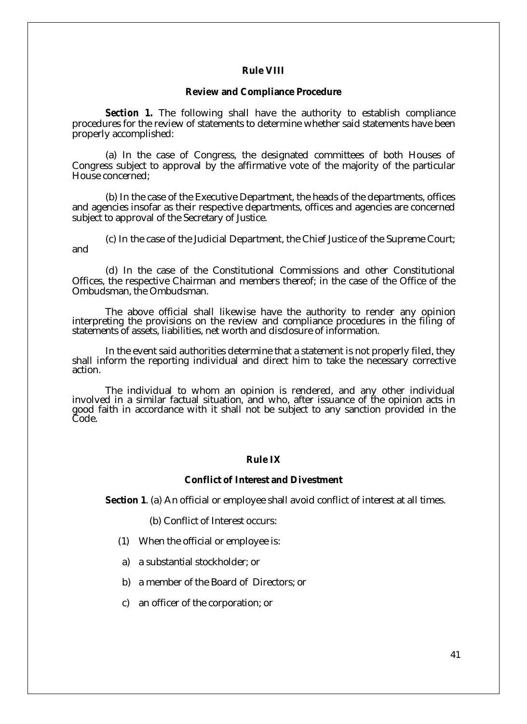## **Rule VIII**

#### **Review and Compliance Procedure**

*Section 1.* The following shall have the authority to establish compliance procedures for the review of statements to determine whether said statements have been properly accomplished:

(a) In the case of Congress, the designated committees of both Houses of Congress subject to approval by the affirmative vote of the majority of the particular House concerned;

(b) In the case of the Executive Department, the heads of the departments, offices and agencies insofar as their respective departments, offices and agencies are concerned subject to approval of the Secretary of Justice.

(c) In the case of the Judicial Department, the Chief Justice of the Supreme Court; and

(d) In the case of the Constitutional Commissions and other Constitutional Offices, the respective Chairman and members thereof; in the case of the Office of the Ombudsman, the Ombudsman.

The above official shall likewise have the authority to render any opinion interpreting the provisions on the review and compliance procedures in the filing of statements of assets, liabilities, net worth and disclosure of information.

In the event said authorities determine that a statement is not properly filed, they shall inform the reporting individual and direct him to take the necessary corrective action.

The individual to whom an opinion is rendered, and any other individual involved in a similar factual situation, and who, after issuance of the opinion acts in good faith in accordance with it shall not be subject to any sanction provided in the Code.

## **Rule IX**

### **Conflict of Interest and Divestment**

**Section 1**. (a) An official or employee shall avoid conflict of interest at all times.

(b) Conflict of Interest occurs:

- (1) When the official or employee is:
- a) a substantial stockholder; or
- b) a member of the Board of Directors; or
- c) an officer of the corporation; or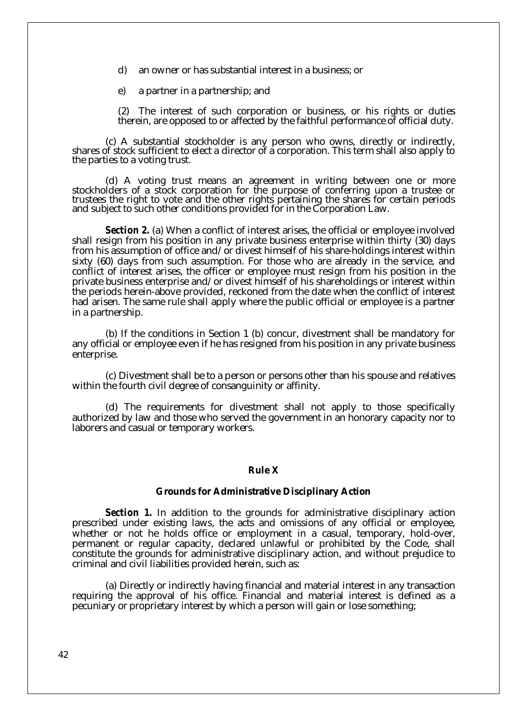- d) an owner or has substantial interest in a business; or
- e) a partner in a partnership; and
- (2) The interest of such corporation or business, or his rights or duties therein, are opposed to or affected by the faithful performance of official duty.

(c) A substantial stockholder is any person who owns, directly or indirectly, shares of stock sufficient to elect a director of a corporation. This term shall also apply to the parties to a voting trust.

(d) A voting trust means an agreement in writing between one or more stockholders of a stock corporation for the purpose of conferring upon a trustee or trustees the right to vote and the other rights pertaining the shares for certain periods and subject to such other conditions provided for in the Corporation Law.

*Section 2.* (a) When a conflict of interest arises, the official or employee involved shall resign from his position in any private business enterprise within thirty (30) days from his assumption of office and/or divest himself of his share-holdings interest within sixty (60) days from such assumption. For those who are already in the service, and conflict of interest arises, the officer or employee must resign from his position in the private business enterprise and/or divest himself of his shareholdings or interest within the periods herein-above provided, reckoned from the date when the conflict of interest had arisen. The same rule shall apply where the public official or employee is a partner in a partnership.

(b) If the conditions in Section 1 (b) concur, divestment shall be mandatory for any official or employee even if he has resigned from his position in any private business enterprise.

(c) Divestment shall be to a person or persons other than his spouse and relatives within the fourth civil degree of consanguinity or affinity.

(d) The requirements for divestment shall not apply to those specifically authorized by law and those who served the government in an honorary capacity nor to laborers and casual or temporary workers.

## **Rule X**

#### **Grounds for Administrative Disciplinary Action**

*Section 1.* In addition to the grounds for administrative disciplinary action prescribed under existing laws, the acts and omissions of any official or employee, whether or not he holds office or employment in a casual, temporary, hold-over, permanent or regular capacity, declared unlawful or prohibited by the Code, shall constitute the grounds for administrative disciplinary action, and without prejudice to criminal and civil liabilities provided herein, such as:

(a) Directly or indirectly having financial and material interest in any transaction requiring the approval of his office. Financial and material interest is defined as a pecuniary or proprietary interest by which a person will gain or lose something;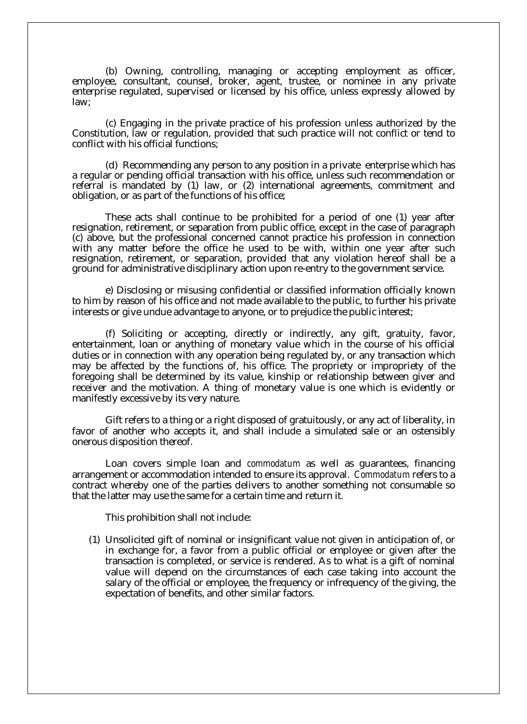(b) Owning, controlling, managing or accepting employment as officer, employee, consultant, counsel, broker, agent, trustee, or nominee in any private enterprise regulated, supervised or licensed by his office, unless expressly allowed by law;

(c) Engaging in the private practice of his profession unless authorized by the Constitution, law or regulation, provided that such practice will not conflict or tend to conflict with his official functions;

(d) Recommending any person to any position in a private enterprise which has a regular or pending official transaction with his office, unless such recommendation or referral is mandated by (1) law, or (2) international agreements, commitment and obligation, or as part of the functions of his office;

These acts shall continue to be prohibited for a period of one (1) year after resignation, retirement, or separation from public office, except in the case of paragraph (c) above, but the professional concerned cannot practice his profession in connection with any matter before the office he used to be with, within one year after such resignation, retirement, or separation, provided that any violation hereof shall be a ground for administrative disciplinary action upon re-entry to the government service.

e) Disclosing or misusing confidential or classified information officially known to him by reason of his office and not made available to the public, to further his private interests or give undue advantage to anyone, or to prejudice the public interest;

(f) Soliciting or accepting, directly or indirectly, any gift, gratuity, favor, entertainment, loan or anything of monetary value which in the course of his official duties or in connection with any operation being regulated by, or any transaction which may be affected by the functions of, his office. The propriety or impropriety of the foregoing shall be determined by its value, kinship or relationship between giver and receiver and the motivation. A thing of monetary value is one which is evidently or manifestly excessive by its very nature.

Gift refers to a thing or a right disposed of gratuitously, or any act of liberality, in favor of another who accepts it, and shall include a simulated sale or an ostensibly onerous disposition thereof.

Loan covers simple loan and *commodatum* as well as guarantees, financing arrangement or accommodation intended to ensure its approval. *Commodatum* refers to a contract whereby one of the parties delivers to another something not consumable so that the latter may use the same for a certain time and return it.

This prohibition shall not include:

(1) Unsolicited gift of nominal or insignificant value not given in anticipation of, or in exchange for, a favor from a public official or employee or given after the transaction is completed, or service is rendered. As to what is a gift of nominal value will depend on the circumstances of each case taking into account the salary of the official or employee, the frequency or infrequency of the giving, the expectation of benefits, and other similar factors.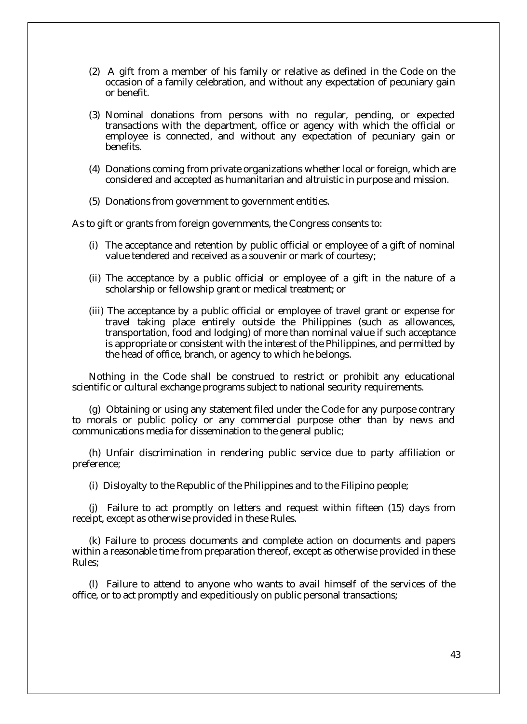- (2) A gift from a member of his family or relative as defined in the Code on the occasion of a family celebration, and without any expectation of pecuniary gain or benefit.
- (3) Nominal donations from persons with no regular, pending, or expected transactions with the department, office or agency with which the official or employee is connected, and without any expectation of pecuniary gain or benefits.
- (4) Donations coming from private organizations whether local or foreign, which are considered and accepted as humanitarian and altruistic in purpose and mission.
- (5) Donations from government to government entities.

As to gift or grants from foreign governments, the Congress consents to:

- (i) The acceptance and retention by public official or employee of a gift of nominal value tendered and received as a souvenir or mark of courtesy;
- (ii) The acceptance by a public official or employee of a gift in the nature of a scholarship or fellowship grant or medical treatment; or
- (iii) The acceptance by a public official or employee of travel grant or expense for travel taking place entirely outside the Philippines (such as allowances, transportation, food and lodging) of more than nominal value if such acceptance is appropriate or consistent with the interest of the Philippines, and permitted by the head of office, branch, or agency to which he belongs.

Nothing in the Code shall be construed to restrict or prohibit any educational scientific or cultural exchange programs subject to national security requirements.

(g) Obtaining or using any statement filed under the Code for any purpose contrary to morals or public policy or any commercial purpose other than by news and communications media for dissemination to the general public;

(h) Unfair discrimination in rendering public service due to party affiliation or preference;

(i) Disloyalty to the Republic of the Philippines and to the Filipino people;

(j) Failure to act promptly on letters and request within fifteen (15) days from receipt, except as otherwise provided in these Rules.

(k) Failure to process documents and complete action on documents and papers within a reasonable time from preparation thereof, except as otherwise provided in these Rules;

(l) Failure to attend to anyone who wants to avail himself of the services of the office, or to act promptly and expeditiously on public personal transactions;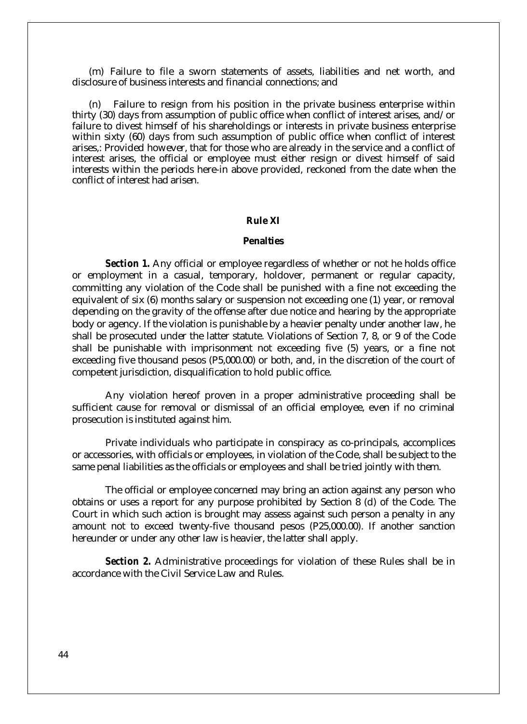(m) Failure to file a sworn statements of assets, liabilities and net worth, and disclosure of business interests and financial connections; and

(n) Failure to resign from his position in the private business enterprise within thirty (30) days from assumption of public office when conflict of interest arises, and/or failure to divest himself of his shareholdings or interests in private business enterprise within sixty (60) days from such assumption of public office when conflict of interest arises,: Provided however, that for those who are already in the service and a conflict of interest arises, the official or employee must either resign or divest himself of said interests within the periods here-in above provided, reckoned from the date when the conflict of interest had arisen.

## **Rule XI**

#### **Penalties**

*Section 1.* Any official or employee regardless of whether or not he holds office or employment in a casual, temporary, holdover, permanent or regular capacity, committing any violation of the Code shall be punished with a fine not exceeding the equivalent of six (6) months salary or suspension not exceeding one (1) year, or removal depending on the gravity of the offense after due notice and hearing by the appropriate body or agency. If the violation is punishable by a heavier penalty under another law, he shall be prosecuted under the latter statute. Violations of Section 7, 8, or 9 of the Code shall be punishable with imprisonment not exceeding five (5) years, or a fine not exceeding five thousand pesos (P5,000.00) or both, and, in the discretion of the court of competent jurisdiction, disqualification to hold public office.

Any violation hereof proven in a proper administrative proceeding shall be sufficient cause for removal or dismissal of an official employee, even if no criminal prosecution is instituted against him.

Private individuals who participate in conspiracy as co-principals, accomplices or accessories, with officials or employees, in violation of the Code, shall be subject to the same penal liabilities as the officials or employees and shall be tried jointly with them.

The official or employee concerned may bring an action against any person who obtains or uses a report for any purpose prohibited by Section 8 (d) of the Code. The Court in which such action is brought may assess against such person a penalty in any amount not to exceed twenty-five thousand pesos (P25,000.00). If another sanction hereunder or under any other law is heavier, the latter shall apply.

*Section 2.* Administrative proceedings for violation of these Rules shall be in accordance with the Civil Service Law and Rules.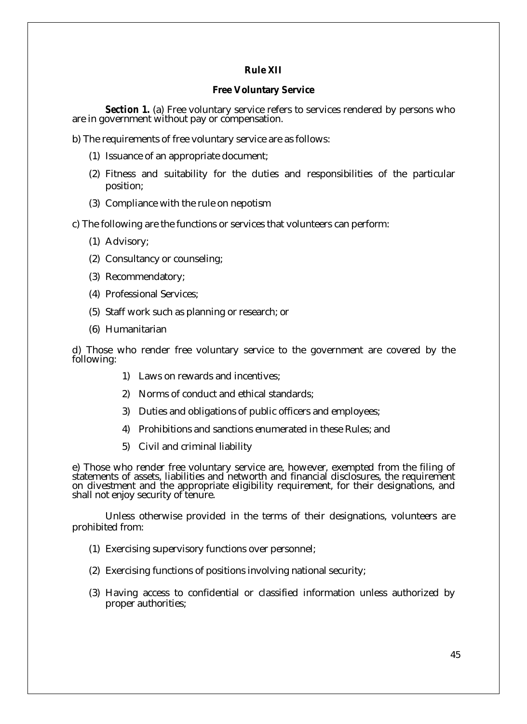## **Rule XII**

### **Free Voluntary Service**

*Section 1.* (a) Free voluntary service refers to services rendered by persons who are in government without pay or compensation.

b) The requirements of free voluntary service are as follows:

- (1) Issuance of an appropriate document;
- (2) Fitness and suitability for the duties and responsibilities of the particular position;
- (3) Compliance with the rule on nepotism

c) The following are the functions or services that volunteers can perform:

- (1) Advisory;
- (2) Consultancy or counseling;
- (3) Recommendatory;
- (4) Professional Services;
- (5) Staff work such as planning or research; or
- (6) Humanitarian

d) Those who render free voluntary service to the government are covered by the following:

- 1) Laws on rewards and incentives;
- 2) Norms of conduct and ethical standards;
- 3) Duties and obligations of public officers and employees;
- 4) Prohibitions and sanctions enumerated in these Rules; and
- 5) Civil and criminal liability

e) Those who render free voluntary service are, however, exempted from the filing of statements of assets, liabilities and networth and financial disclosures, the requirement on divestment and the appropriate eligibility requirement, for their designations, and shall not enjoy security of tenure.

Unless otherwise provided in the terms of their designations, volunteers are prohibited from:

- (1) Exercising supervisory functions over personnel;
- (2) Exercising functions of positions involving national security;
- (3) Having access to confidential or classified information unless authorized by proper authorities;